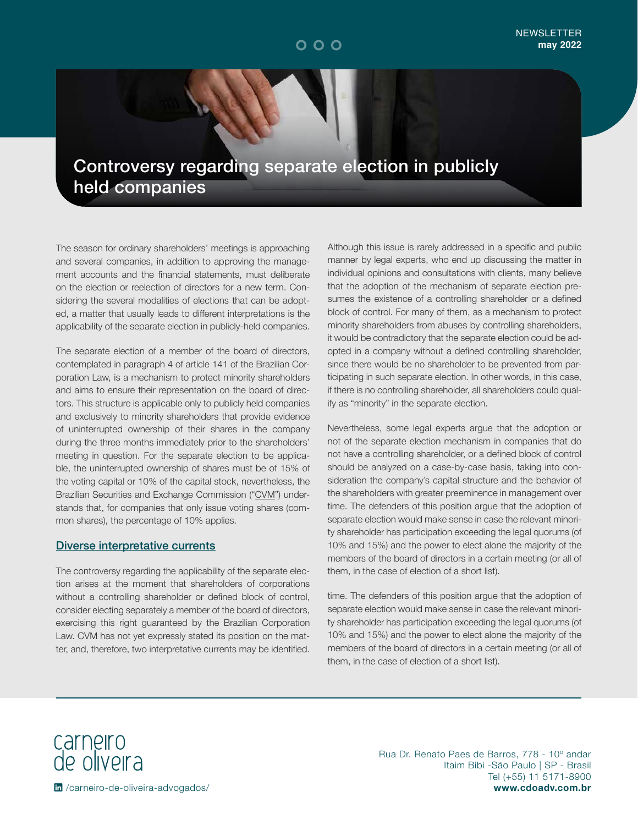### Controversy regarding separate election in publicly held companies

The season for ordinary shareholders' meetings is approaching and several companies, in addition to approving the management accounts and the financial statements, must deliberate on the election or reelection of directors for a new term. Considering the several modalities of elections that can be adopted, a matter that usually leads to different interpretations is the applicability of the separate election in publicly-held companies.

The separate election of a member of the board of directors, contemplated in paragraph 4 of article 141 of the Brazilian Corporation Law, is a mechanism to protect minority shareholders and aims to ensure their representation on the board of directors. This structure is applicable only to publicly held companies and exclusively to minority shareholders that provide evidence of uninterrupted ownership of their shares in the company during the three months immediately prior to the shareholders' meeting in question. For the separate election to be applicable, the uninterrupted ownership of shares must be of 15% of the voting capital or 10% of the capital stock, nevertheless, the Brazilian Securities and Exchange Commission ("CVM") understands that, for companies that only issue voting shares (common shares), the percentage of 10% applies.

#### Diverse interpretative currents

The controversy regarding the applicability of the separate election arises at the moment that shareholders of corporations without a controlling shareholder or defined block of control, consider electing separately a member of the board of directors, exercising this right guaranteed by the Brazilian Corporation Law. CVM has not yet expressly stated its position on the matter, and, therefore, two interpretative currents may be identified.

Although this issue is rarely addressed in a specific and public manner by legal experts, who end up discussing the matter in individual opinions and consultations with clients, many believe that the adoption of the mechanism of separate election presumes the existence of a controlling shareholder or a defined block of control. For many of them, as a mechanism to protect minority shareholders from abuses by controlling shareholders, it would be contradictory that the separate election could be adopted in a company without a defined controlling shareholder, since there would be no shareholder to be prevented from participating in such separate election. In other words, in this case, if there is no controlling shareholder, all shareholders could qualify as "minority" in the separate election.

Nevertheless, some legal experts argue that the adoption or not of the separate election mechanism in companies that do not have a controlling shareholder, or a defined block of control should be analyzed on a case-by-case basis, taking into consideration the company's capital structure and the behavior of the shareholders with greater preeminence in management over time. The defenders of this position argue that the adoption of separate election would make sense in case the relevant minority shareholder has participation exceeding the legal quorums (of 10% and 15%) and the power to elect alone the majority of the members of the board of directors in a certain meeting (or all of them, in the case of election of a short list).

time. The defenders of this position argue that the adoption of separate election would make sense in case the relevant minority shareholder has participation exceeding the legal quorums (of 10% and 15%) and the power to elect alone the majority of the members of the board of directors in a certain meeting (or all of them, in the case of election of a short list).

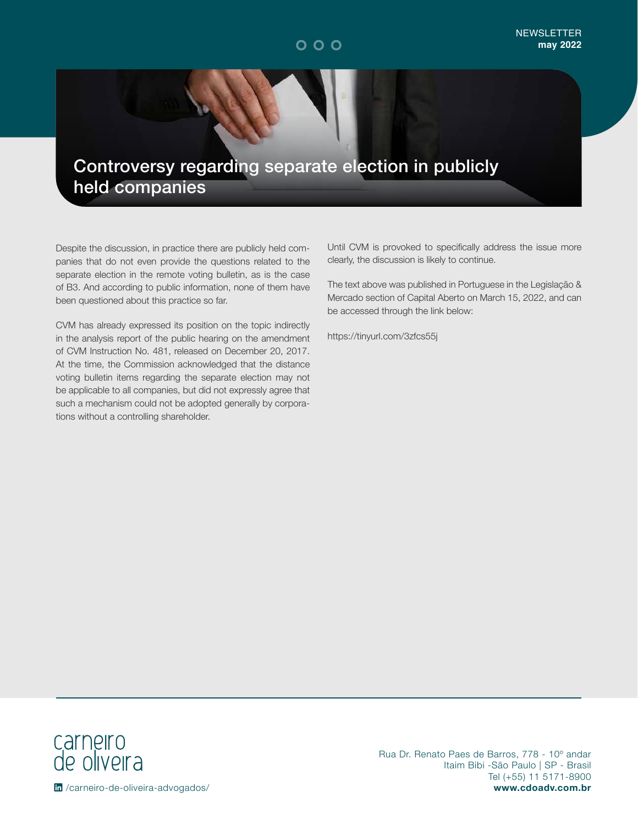## Controversy regarding separate election in publicly held companies

Despite the discussion, in practice there are publicly held companies that do not even provide the questions related to the separate election in the remote voting bulletin, as is the case of B3. And according to public information, none of them have been questioned about this practice so far.

CVM has already expressed its position on the topic indirectly in the analysis report of the public hearing on the amendment of CVM Instruction No. 481, released on December 20, 2017. At the time, the Commission acknowledged that the distance voting bulletin items regarding the separate election may not be applicable to all companies, but did not expressly agree that such a mechanism could not be adopted generally by corporations without a controlling shareholder.

Until CVM is provoked to specifically address the issue more clearly, the discussion is likely to continue.

The text above was published in Portuguese in the Legislação & Mercado section of Capital Aberto on March 15, 2022, and can be accessed through the link below:

https://tinyurl.com/3zfcs55j

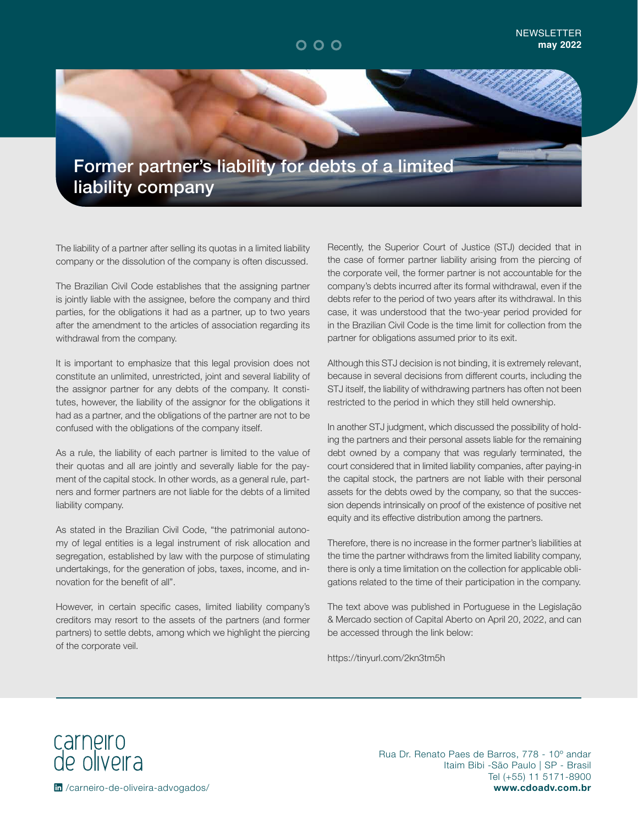

The liability of a partner after selling its quotas in a limited liability company or the dissolution of the company is often discussed.

The Brazilian Civil Code establishes that the assigning partner is jointly liable with the assignee, before the company and third parties, for the obligations it had as a partner, up to two years after the amendment to the articles of association regarding its withdrawal from the company.

It is important to emphasize that this legal provision does not constitute an unlimited, unrestricted, joint and several liability of the assignor partner for any debts of the company. It constitutes, however, the liability of the assignor for the obligations it had as a partner, and the obligations of the partner are not to be confused with the obligations of the company itself.

As a rule, the liability of each partner is limited to the value of their quotas and all are jointly and severally liable for the payment of the capital stock. In other words, as a general rule, partners and former partners are not liable for the debts of a limited liability company.

As stated in the Brazilian Civil Code, "the patrimonial autonomy of legal entities is a legal instrument of risk allocation and segregation, established by law with the purpose of stimulating undertakings, for the generation of jobs, taxes, income, and innovation for the benefit of all".

However, in certain specific cases, limited liability company's creditors may resort to the assets of the partners (and former partners) to settle debts, among which we highlight the piercing of the corporate veil.

Recently, the Superior Court of Justice (STJ) decided that in the case of former partner liability arising from the piercing of the corporate veil, the former partner is not accountable for the company's debts incurred after its formal withdrawal, even if the debts refer to the period of two years after its withdrawal. In this case, it was understood that the two-year period provided for in the Brazilian Civil Code is the time limit for collection from the partner for obligations assumed prior to its exit.

Although this STJ decision is not binding, it is extremely relevant, because in several decisions from different courts, including the STJ itself, the liability of withdrawing partners has often not been restricted to the period in which they still held ownership.

In another STJ judgment, which discussed the possibility of holding the partners and their personal assets liable for the remaining debt owned by a company that was regularly terminated, the court considered that in limited liability companies, after paying-in the capital stock, the partners are not liable with their personal assets for the debts owed by the company, so that the succession depends intrinsically on proof of the existence of positive net equity and its effective distribution among the partners.

Therefore, there is no increase in the former partner's liabilities at the time the partner withdraws from the limited liability company, there is only a time limitation on the collection for applicable obligations related to the time of their participation in the company.

The text above was published in Portuguese in the Legislação & Mercado section of Capital Aberto on April 20, 2022, and can be accessed through the link below:

https://tinyurl.com/2kn3tm5h

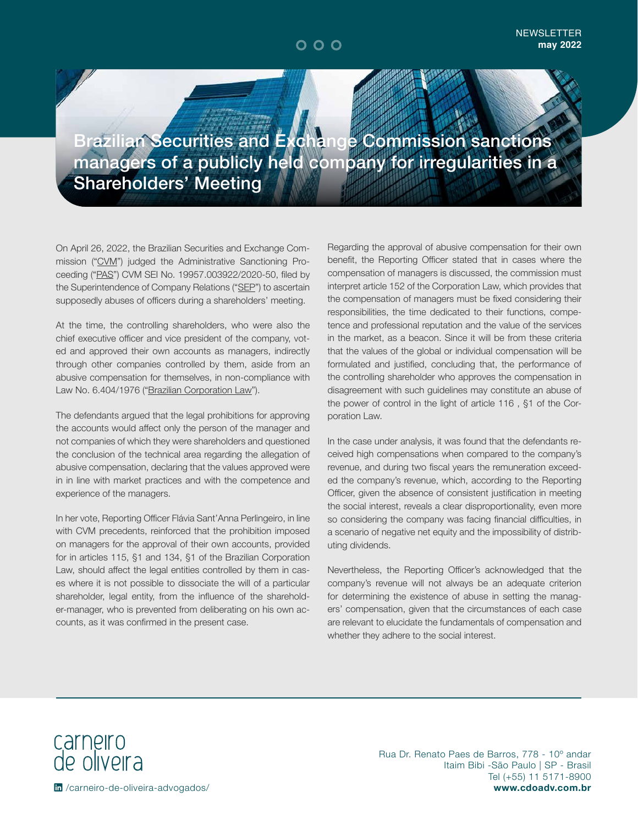$000$ 

## **Brazilian Securities and Exchange Commission sanctions** managers of a publicly held company for irregularities in a Shareholders' Meeting

On April 26, 2022, the Brazilian Securities and Exchange Commission ("CVM") judged the Administrative Sanctioning Proceeding ("PAS") CVM SEI No. 19957.003922/2020-50, filed by the Superintendence of Company Relations ("SEP") to ascertain supposedly abuses of officers during a shareholders' meeting.

At the time, the controlling shareholders, who were also the chief executive officer and vice president of the company, voted and approved their own accounts as managers, indirectly through other companies controlled by them, aside from an abusive compensation for themselves, in non-compliance with Law No. 6.404/1976 ("Brazilian Corporation Law").

The defendants argued that the legal prohibitions for approving the accounts would affect only the person of the manager and not companies of which they were shareholders and questioned the conclusion of the technical area regarding the allegation of abusive compensation, declaring that the values approved were in in line with market practices and with the competence and experience of the managers.

In her vote, Reporting Officer Flávia Sant'Anna Perlingeiro, in line with CVM precedents, reinforced that the prohibition imposed on managers for the approval of their own accounts, provided for in articles 115, §1 and 134, §1 of the Brazilian Corporation Law, should affect the legal entities controlled by them in cases where it is not possible to dissociate the will of a particular shareholder, legal entity, from the influence of the shareholder-manager, who is prevented from deliberating on his own accounts, as it was confirmed in the present case.

Regarding the approval of abusive compensation for their own benefit, the Reporting Officer stated that in cases where the compensation of managers is discussed, the commission must interpret article 152 of the Corporation Law, which provides that the compensation of managers must be fixed considering their responsibilities, the time dedicated to their functions, competence and professional reputation and the value of the services in the market, as a beacon. Since it will be from these criteria that the values of the global or individual compensation will be formulated and justified, concluding that, the performance of the controlling shareholder who approves the compensation in disagreement with such guidelines may constitute an abuse of the power of control in the light of article 116 , §1 of the Corporation Law.

In the case under analysis, it was found that the defendants received high compensations when compared to the company's revenue, and during two fiscal years the remuneration exceeded the company's revenue, which, according to the Reporting Officer, given the absence of consistent justification in meeting the social interest, reveals a clear disproportionality, even more so considering the company was facing financial difficulties, in a scenario of negative net equity and the impossibility of distributing dividends.

Nevertheless, the Reporting Officer's acknowledged that the company's revenue will not always be an adequate criterion for determining the existence of abuse in setting the managers' compensation, given that the circumstances of each case are relevant to elucidate the fundamentals of compensation and whether they adhere to the social interest.

carneiro<br>de oliveira